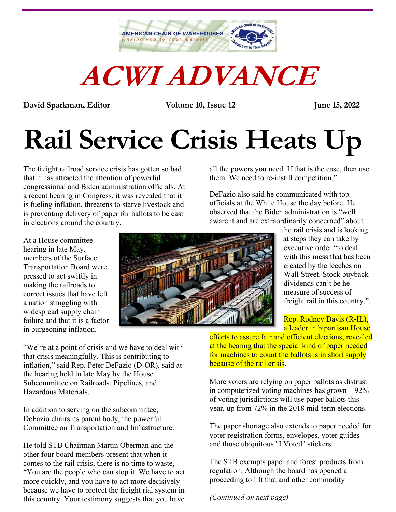

# **ACWI ADVANCE**

**David Sparkman, Editor Volume 10, Issue 12 June 15, 2022** \_\_\_\_\_\_\_\_\_\_\_\_\_\_\_\_\_\_\_\_\_\_\_\_\_\_\_\_\_\_\_\_\_\_\_\_\_\_\_\_\_\_\_\_\_\_\_\_\_\_\_\_\_\_\_\_\_\_\_\_\_\_\_\_\_\_\_\_\_\_\_\_\_\_\_\_\_\_\_\_\_\_\_\_\_\_\_\_\_\_

## **Rail Service Crisis Heats Up**

The freight railroad service crisis has gotten so bad that it has attracted the attention of powerful congressional and Biden administration officials. At a recent hearing in Congress, it was revealed that it is fueling inflation, threatens to starve livestock and is preventing delivery of paper for ballots to be cast in elections around the country.

all the powers you need. If that is the case, then use them. We need to re-instill competition."

DeFazio also said he communicated with top officials at the White House the day before. He observed that the Biden administration is "well aware it and are extraordinarily concerned" about

At a House committee hearing in late May, members of the Surface Transportation Board were pressed to act swiftly in making the railroads to correct issues that have left a nation struggling with widespread supply chain failure and that it is a factor in burgeoning inflation.



the rail crisis and is looking at steps they can take by executive order "to deal with this mess that has been created by the leeches on Wall Street. Stock buyback dividends can't be he measure of success of freight rail in this country.".

Rep. Rodney Davis (R-IL), a leader in bipartisan House

"We're at a point of crisis and we have to deal with that crisis meaningfully. This is contributing to inflation," said Rep. Peter DeFazio (D-OR), said at the hearing held in late May by the House Subcommittee on Railroads, Pipelines, and Hazardous Materials.

In addition to serving on the subcommittee, DeFazio chairs its parent body, the powerful Committee on Transportation and Infrastructure.

He told STB Chairman Martin Oberman and the other four board members present that when it comes to the rail crisis, there is no time to waste, "You are the people who can stop it. We have to act more quickly, and you have to act more decisively because we have to protect the freight rial system in this country. Your testimony suggests that you have

efforts to assure fair and efficient elections, revealed at the hearing that the special kind of paper needed for machines to count the ballots is in short supply because of the rail crisis.

More voters are relying on paper ballots as distrust in computerized voting machines has grown – 92% of voting jurisdictions will use paper ballots this year, up from 72% in the 2018 mid-term elections.

The paper shortage also extends to paper needed for voter registration forms, envelopes, voter guides and those ubiquitous "I Voted" stickers.

The STB exempts paper and forest products from regulation. Although the board has opened a proceeding to lift that and other commodity

*(Continued on next page)*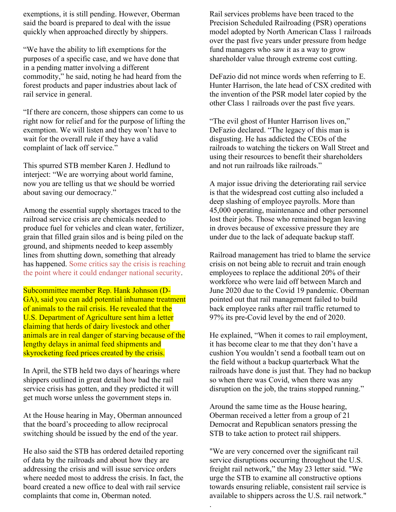exemptions, it is still pending. However, Oberman said the board is prepared to deal with the issue quickly when approached directly by shippers.

"We have the ability to lift exemptions for the purposes of a specific case, and we have done that in a pending matter involving a different commodity," he said, noting he had heard from the forest products and paper industries about lack of rail service in general.

"If there are concern, those shippers can come to us right now for relief and for the purpose of lifting the exemption. We will listen and they won't have to wait for the overall rule if they have a valid complaint of lack off service."

This spurred STB member Karen J. Hedlund to interject: "We are worrying about world famine, now you are telling us that we should be worried about saving our democracy."

Among the essential supply shortages traced to the railroad service crisis are chemicals needed to produce fuel for vehicles and clean water, fertilizer, grain that filled grain silos and is being piled on the ground, and shipments needed to keep assembly lines from shutting down, something that already has happened. Some critics say [the crisis is reaching](https://acwi.org/2022/05/15/rail-crisis-triggers-stb-action/)  [the point where it could endanger national security.](https://acwi.org/2022/05/15/rail-crisis-triggers-stb-action/)

Subcommittee member Rep. Hank Johnson (D-GA), said you can add potential inhumane treatment of animals to the rail crisis. He revealed that the U.S. Department of Agriculture sent him a letter claiming that herds of dairy livestock and other animals are in real danger of starving because of the lengthy delays in animal feed shipments and skyrocketing feed prices created by the crisis.

In April, the STB held two days of hearings where shippers outlined in great detail how bad the rail service crisis has gotten, and they predicted it will get much worse unless the government steps in.

At the House hearing in May, Oberman announced that the board's proceeding to allow reciprocal switching should be issued by the end of the year.

He also said the STB has ordered detailed reporting of data by the railroads and about how they are addressing the crisis and will issue service orders where needed most to address the crisis. In fact, the board created a new office to deal with rail service complaints that come in, Oberman noted.

Rail services problems have been traced to the Precision Scheduled Railroading (PSR) operations model adopted by North American Class 1 railroads over the past five years under pressure from hedge fund managers who saw it as a way to grow shareholder value through extreme cost cutting.

DeFazio did not mince words when referring to E. Hunter Harrison, the late head of CSX credited with the invention of the PSR model later copied by the other Class 1 railroads over the past five years.

"The evil ghost of Hunter Harrison lives on," DeFazio declared. "The legacy of this man is disgusting. He has addicted the CEOs of the railroads to watching the tickers on Wall Street and using their resources to benefit their shareholders and not run railroads like railroads."

A major issue driving the deteriorating rail service is that the widespread cost cutting also included a deep slashing of employee payrolls. More than 45,000 operating, maintenance and other personnel lost their jobs. Those who remained began leaving in droves because of excessive pressure they are under due to the lack of adequate backup staff.

Railroad management has tried to blame the service crisis on not being able to recruit and train enough employees to replace the additional 20% of their workforce who were laid off between March and June 2020 due to the Covid 19 pandemic. Oberman pointed out that rail management failed to build back employee ranks after rail traffic returned to 97% its pre-Covid level by the end of 2020.

He explained, "When it comes to rail employment, it has become clear to me that they don't have a cushion You wouldn't send a football team out on the field without a backup quarterback What the railroads have done is just that. They had no backup so when there was Covid, when there was any disruption on the job, the trains stopped running."

Around the same time as the House hearing, Oberman received a letter from a group of 21 Democrat and Republican senators pressing the STB to take action to protect rail shippers.

"We are very concerned over the significant rail service disruptions occurring throughout the U.S. freight rail network," the May 23 letter said. "We urge the STB to examine all constructive options towards ensuring reliable, consistent rail service is available to shippers across the U.S. rail network."

.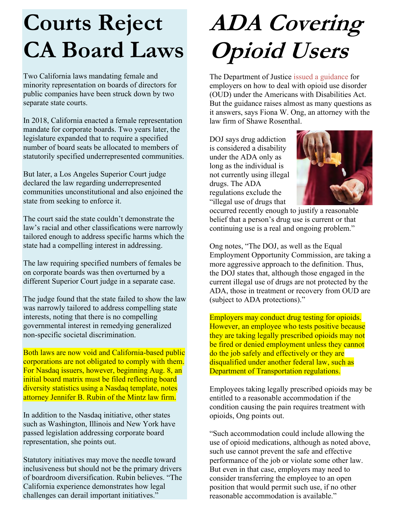#### **Courts Reject CA Board Laws**

Two California laws mandating female and minority representation on boards of directors for public companies have been struck down by two separate state courts.

In 2018, California enacted a female representation mandate for corporate boards. Two years later, the legislature expanded that to require a specified number of board seats be allocated to members of statutorily specified underrepresented communities.

But later, a Los Angeles Superior Court judge declared the law regarding underrepresented communities unconstitutional and also enjoined the state from seeking to enforce it.

The court said the state couldn't demonstrate the law's racial and other classifications were narrowly tailored enough to address specific harms which the state had a compelling interest in addressing.

The law requiring specified numbers of females be on corporate boards was then overturned by a different Superior Court judge in a separate case.

The judge found that the state failed to show the law was narrowly tailored to address compelling state interests, noting that there is no compelling governmental interest in remedying generalized non-specific societal discrimination.

Both laws are now void and California-based public corporations are not obligated to comply with them. For Nasdaq issuers, however, beginning Aug. 8, an initial board matrix must be filed reflecting board diversity statistics using a Nasdaq template, notes attorney Jennifer B. Rubin of the Mintz law firm.

In addition to the Nasdaq initiative, other states such as Washington, Illinois and New York have passed legislation addressing corporate board representation, she points out.

Statutory initiatives may move the needle toward inclusiveness but should not be the primary drivers of boardroom diversification. Rubin believes. "The California experience demonstrates how legal challenges can derail important initiatives."

## **ADA Covering Opioid Users**

The Department of Justice [issued a guidance](https://www.ada.gov/opioid_guidance.pdf) for employers on how to deal with opioid use disorder (OUD) under the Americans with Disabilities Act. But the guidance raises almost as many questions as it answers, says Fiona W. Ong, an attorney with the law firm of Shawe Rosenthal.

DOJ says drug addiction is considered a disability under the ADA only as long as the individual is not currently using illegal drugs. The ADA regulations exclude the "illegal use of drugs that



occurred recently enough to justify a reasonable belief that a person's drug use is current or that continuing use is a real and ongoing problem."

Ong notes, "The DOJ, as well as the Equal Employment Opportunity Commission, are taking a more aggressive approach to the definition. Thus, the DOJ states that, although those engaged in the current illegal use of drugs are not protected by the ADA, those in treatment or recovery from OUD are (subject to ADA protections)."

Employers may conduct drug testing for opioids. However, an employee who tests positive because they are taking legally prescribed opioids may not be fired or denied employment unless they cannot do the job safely and effectively or they are disqualified under another federal law, such as Department of Transportation regulations.

Employees taking legally prescribed opioids may be entitled to a reasonable accommodation if the condition causing the pain requires treatment with opioids, Ong points out.

"Such accommodation could include allowing the use of opioid medications, although as noted above, such use cannot prevent the safe and effective performance of the job or violate some other law. But even in that case, employers may need to consider transferring the employee to an open position that would permit such use, if no other reasonable accommodation is available."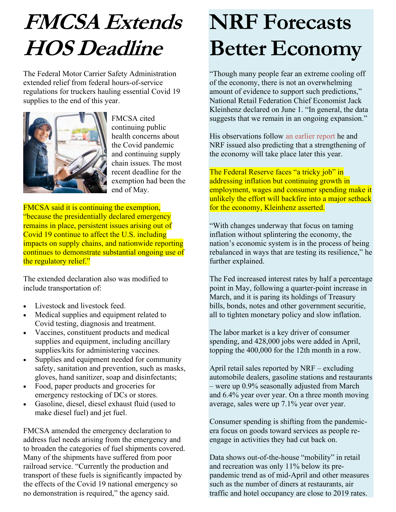### **FMCSA Extends HOS Deadline**

The Federal Motor Carrier Safety Administration extended relief from federal hours-of-service regulations for truckers hauling essential Covid 19 supplies to the end of this year.



FMCSA cited continuing public health concerns about the Covid pandemic and continuing supply chain issues. The most recent deadline for the exemption had been the end of May.

FMCSA said it is continuing the exemption, "because the presidentially declared emergency remains in place, persistent issues arising out of Covid 19 continue to affect the U.S. including impacts on supply chains, and nationwide reporting continues to demonstrate substantial ongoing use of the regulatory relief."

The extended declaration also was modified to include transportation of:

- Livestock and livestock feed.
- Medical supplies and equipment related to Covid testing, diagnosis and treatment.
- Vaccines, constituent products and medical supplies and equipment, including ancillary supplies/kits for administering vaccines.
- Supplies and equipment needed for community safety, sanitation and prevention, such as masks, gloves, hand sanitizer, soap and disinfectants;
- Food, paper products and groceries for emergency restocking of DCs or stores.
- Gasoline, diesel, diesel exhaust fluid (used to make diesel fuel) and jet fuel.

FMCSA amended the emergency declaration to address fuel needs arising from the emergency and to broaden the categories of fuel shipments covered. Many of the shipments have suffered from poor railroad service. "Currently the production and transport of these fuels is significantly impacted by the effects of the Covid 19 national emergency so no demonstration is required," the agency said.

### **NRF Forecasts Better Economy**

"Though many people fear an extreme cooling off of the economy, there is not an overwhelming amount of evidence to support such predictions," National Retail Federation Chief Economist Jack Kleinhenz declared on June 1. "In general, the data suggests that we remain in an ongoing expansion."

His observations follow [an earlier report](https://acwi.org/2022/06/01/retail-strong-but-for-how-long/) he and NRF issued also predicting that a strengthening of the economy will take place later this year.

The Federal Reserve faces "a tricky job" in addressing inflation but continuing growth in employment, wages and consumer spending make it unlikely the effort will backfire into a major setback for the economy, Kleinhenz asserted.

"With changes underway that focus on taming inflation without splintering the economy, the nation's economic system is in the process of being rebalanced in ways that are testing its resilience," he further explained.

The Fed increased interest rates by half a percentage point in May, following a quarter-point increase in March, and it is paring its holdings of Treasury bills, bonds, notes and other government securitie, all to tighten monetary policy and slow inflation.

The labor market is a key driver of consumer spending, and 428,000 jobs were added in April, topping the 400,000 for the 12th month in a row.

April retail sales reported by NRF – excluding automobile dealers, gasoline stations and restaurants – were up 0.9% seasonally adjusted from March and 6.4% year over year. On a three month moving average, sales were up 7.1% year over year.

Consumer spending is shifting from the pandemicera focus on goods toward services as people reengage in activities they had cut back on.

Data shows out-of-the-house "mobility" in retail and recreation was only 11% below its prepandemic trend as of mid-April and other measures such as the number of diners at restaurants, air traffic and hotel occupancy are close to 2019 rates.